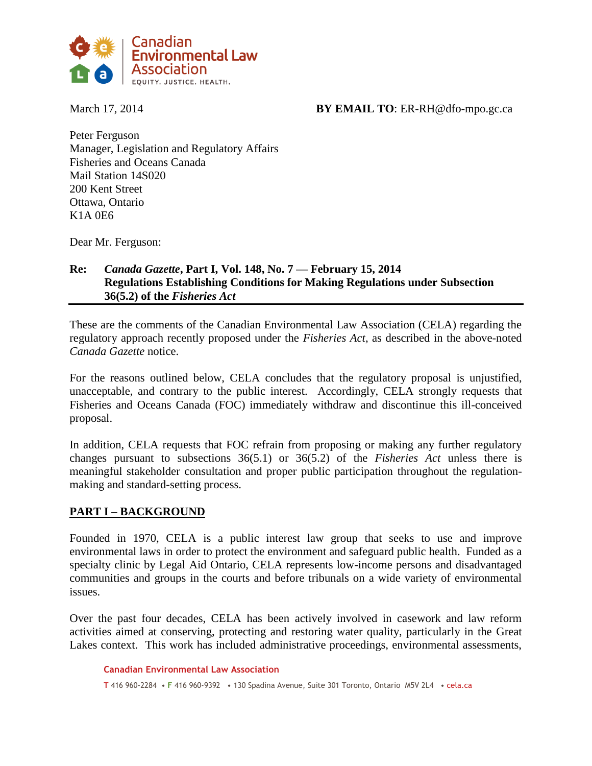

March 17, 2014 **BY EMAIL TO**: ER-RH@dfo-mpo.gc.ca

Peter Ferguson Manager, Legislation and Regulatory Affairs Fisheries and Oceans Canada Mail Station 14S020 200 Kent Street Ottawa, Ontario K1A 0E6

Dear Mr. Ferguson:

## **Re:** *Canada Gazette***, Part I, Vol. 148, No. 7 — February 15, 2014 Regulations Establishing Conditions for Making Regulations under Subsection 36(5.2) of the** *Fisheries Act*

These are the comments of the Canadian Environmental Law Association (CELA) regarding the regulatory approach recently proposed under the *Fisheries Act*, as described in the above-noted *Canada Gazette* notice.

For the reasons outlined below, CELA concludes that the regulatory proposal is unjustified, unacceptable, and contrary to the public interest. Accordingly, CELA strongly requests that Fisheries and Oceans Canada (FOC) immediately withdraw and discontinue this ill-conceived proposal.

In addition, CELA requests that FOC refrain from proposing or making any further regulatory changes pursuant to subsections 36(5.1) or 36(5.2) of the *Fisheries Act* unless there is meaningful stakeholder consultation and proper public participation throughout the regulationmaking and standard-setting process.

## **PART I – BACKGROUND**

Founded in 1970, CELA is a public interest law group that seeks to use and improve environmental laws in order to protect the environment and safeguard public health. Funded as a specialty clinic by Legal Aid Ontario, CELA represents low-income persons and disadvantaged communities and groups in the courts and before tribunals on a wide variety of environmental issues.

Over the past four decades, CELA has been actively involved in casework and law reform activities aimed at conserving, protecting and restoring water quality, particularly in the Great Lakes context. This work has included administrative proceedings, environmental assessments,

**Canadian Environmental Law Association T** 416 960-2284 • **F** 416 960-9392 • 130 Spadina Avenue, Suite 301 Toronto, Ontario M5V 2L4 • cela.ca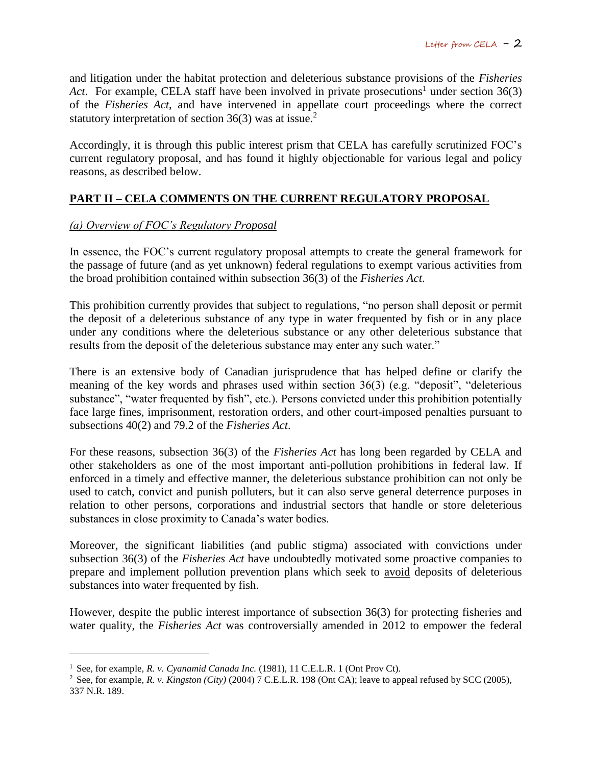and litigation under the habitat protection and deleterious substance provisions of the *Fisheries*  Act. For example, CELA staff have been involved in private prosecutions<sup>1</sup> under section  $36(3)$ of the *Fisheries Act*, and have intervened in appellate court proceedings where the correct statutory interpretation of section  $36(3)$  was at issue.<sup>2</sup>

Accordingly, it is through this public interest prism that CELA has carefully scrutinized FOC's current regulatory proposal, and has found it highly objectionable for various legal and policy reasons, as described below.

# **PART II – CELA COMMENTS ON THE CURRENT REGULATORY PROPOSAL**

## *(a) Overview of FOC's Regulatory Proposal*

In essence, the FOC's current regulatory proposal attempts to create the general framework for the passage of future (and as yet unknown) federal regulations to exempt various activities from the broad prohibition contained within subsection 36(3) of the *Fisheries Act*.

This prohibition currently provides that subject to regulations, "no person shall deposit or permit the deposit of a deleterious substance of any type in water frequented by fish or in any place under any conditions where the deleterious substance or any other deleterious substance that results from the deposit of the deleterious substance may enter any such water."

There is an extensive body of Canadian jurisprudence that has helped define or clarify the meaning of the key words and phrases used within section 36(3) (e.g. "deposit", "deleterious substance", "water frequented by fish", etc.). Persons convicted under this prohibition potentially face large fines, imprisonment, restoration orders, and other court-imposed penalties pursuant to subsections 40(2) and 79.2 of the *Fisheries Act*.

For these reasons, subsection 36(3) of the *Fisheries Act* has long been regarded by CELA and other stakeholders as one of the most important anti-pollution prohibitions in federal law. If enforced in a timely and effective manner, the deleterious substance prohibition can not only be used to catch, convict and punish polluters, but it can also serve general deterrence purposes in relation to other persons, corporations and industrial sectors that handle or store deleterious substances in close proximity to Canada's water bodies.

Moreover, the significant liabilities (and public stigma) associated with convictions under subsection 36(3) of the *Fisheries Act* have undoubtedly motivated some proactive companies to prepare and implement pollution prevention plans which seek to avoid deposits of deleterious substances into water frequented by fish.

However, despite the public interest importance of subsection 36(3) for protecting fisheries and water quality, the *Fisheries Act* was controversially amended in 2012 to empower the federal

i<br>I

<sup>1</sup> See, for example, *R. v. Cyanamid Canada Inc.* (1981), 11 C.E.L.R. 1 (Ont Prov Ct).

<sup>2</sup> See, for example, *R. v. Kingston (City)* (2004) 7 C.E.L.R. 198 (Ont CA); leave to appeal refused by SCC (2005), 337 N.R. 189.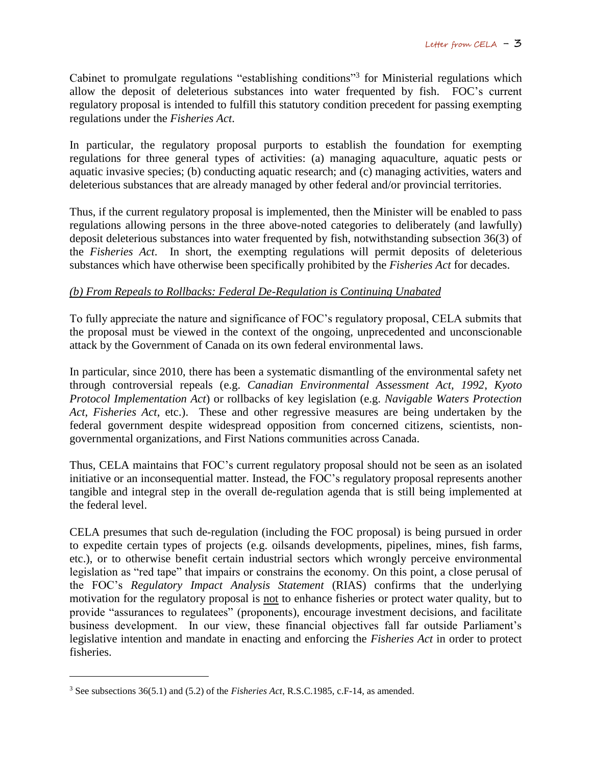Cabinet to promulgate regulations "establishing conditions"<sup>3</sup> for Ministerial regulations which allow the deposit of deleterious substances into water frequented by fish. FOC's current regulatory proposal is intended to fulfill this statutory condition precedent for passing exempting regulations under the *Fisheries Act*.

In particular, the regulatory proposal purports to establish the foundation for exempting regulations for three general types of activities: (a) managing aquaculture, aquatic pests or aquatic invasive species; (b) conducting aquatic research; and (c) managing activities, waters and deleterious substances that are already managed by other federal and/or provincial territories.

Thus, if the current regulatory proposal is implemented, then the Minister will be enabled to pass regulations allowing persons in the three above-noted categories to deliberately (and lawfully) deposit deleterious substances into water frequented by fish, notwithstanding subsection 36(3) of the *Fisheries Act*. In short, the exempting regulations will permit deposits of deleterious substances which have otherwise been specifically prohibited by the *Fisheries Act* for decades.

#### *(b) From Repeals to Rollbacks: Federal De-Regulation is Continuing Unabated*

To fully appreciate the nature and significance of FOC's regulatory proposal, CELA submits that the proposal must be viewed in the context of the ongoing, unprecedented and unconscionable attack by the Government of Canada on its own federal environmental laws.

In particular, since 2010, there has been a systematic dismantling of the environmental safety net through controversial repeals (e.g. *Canadian Environmental Assessment Act, 1992*, *Kyoto Protocol Implementation Act*) or rollbacks of key legislation (e.g. *Navigable Waters Protection Act*, *Fisheries Act*, etc.). These and other regressive measures are being undertaken by the federal government despite widespread opposition from concerned citizens, scientists, nongovernmental organizations, and First Nations communities across Canada.

Thus, CELA maintains that FOC's current regulatory proposal should not be seen as an isolated initiative or an inconsequential matter. Instead, the FOC's regulatory proposal represents another tangible and integral step in the overall de-regulation agenda that is still being implemented at the federal level.

CELA presumes that such de-regulation (including the FOC proposal) is being pursued in order to expedite certain types of projects (e.g. oilsands developments, pipelines, mines, fish farms, etc.), or to otherwise benefit certain industrial sectors which wrongly perceive environmental legislation as "red tape" that impairs or constrains the economy. On this point, a close perusal of the FOC's *Regulatory Impact Analysis Statement* (RIAS) confirms that the underlying motivation for the regulatory proposal is not to enhance fisheries or protect water quality, but to provide "assurances to regulatees" (proponents), encourage investment decisions, and facilitate business development. In our view, these financial objectives fall far outside Parliament's legislative intention and mandate in enacting and enforcing the *Fisheries Act* in order to protect fisheries.

i.

<sup>3</sup> See subsections 36(5.1) and (5.2) of the *Fisheries Act*, R.S.C.1985, c.F-14, as amended.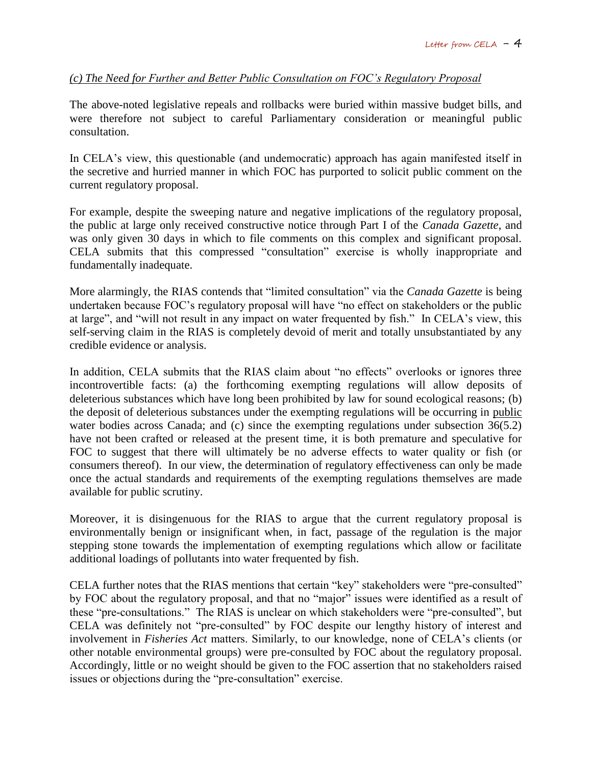## *(c) The Need for Further and Better Public Consultation on FOC's Regulatory Proposal*

The above-noted legislative repeals and rollbacks were buried within massive budget bills, and were therefore not subject to careful Parliamentary consideration or meaningful public consultation.

In CELA's view, this questionable (and undemocratic) approach has again manifested itself in the secretive and hurried manner in which FOC has purported to solicit public comment on the current regulatory proposal.

For example, despite the sweeping nature and negative implications of the regulatory proposal, the public at large only received constructive notice through Part I of the *Canada Gazette*, and was only given 30 days in which to file comments on this complex and significant proposal. CELA submits that this compressed "consultation" exercise is wholly inappropriate and fundamentally inadequate.

More alarmingly, the RIAS contends that "limited consultation" via the *Canada Gazette* is being undertaken because FOC's regulatory proposal will have "no effect on stakeholders or the public at large", and "will not result in any impact on water frequented by fish." In CELA's view, this self-serving claim in the RIAS is completely devoid of merit and totally unsubstantiated by any credible evidence or analysis.

In addition, CELA submits that the RIAS claim about "no effects" overlooks or ignores three incontrovertible facts: (a) the forthcoming exempting regulations will allow deposits of deleterious substances which have long been prohibited by law for sound ecological reasons; (b) the deposit of deleterious substances under the exempting regulations will be occurring in public water bodies across Canada; and (c) since the exempting regulations under subsection 36(5.2) have not been crafted or released at the present time, it is both premature and speculative for FOC to suggest that there will ultimately be no adverse effects to water quality or fish (or consumers thereof). In our view, the determination of regulatory effectiveness can only be made once the actual standards and requirements of the exempting regulations themselves are made available for public scrutiny.

Moreover, it is disingenuous for the RIAS to argue that the current regulatory proposal is environmentally benign or insignificant when, in fact, passage of the regulation is the major stepping stone towards the implementation of exempting regulations which allow or facilitate additional loadings of pollutants into water frequented by fish.

CELA further notes that the RIAS mentions that certain "key" stakeholders were "pre-consulted" by FOC about the regulatory proposal, and that no "major" issues were identified as a result of these "pre-consultations." The RIAS is unclear on which stakeholders were "pre-consulted", but CELA was definitely not "pre-consulted" by FOC despite our lengthy history of interest and involvement in *Fisheries Act* matters. Similarly, to our knowledge, none of CELA's clients (or other notable environmental groups) were pre-consulted by FOC about the regulatory proposal. Accordingly, little or no weight should be given to the FOC assertion that no stakeholders raised issues or objections during the "pre-consultation" exercise.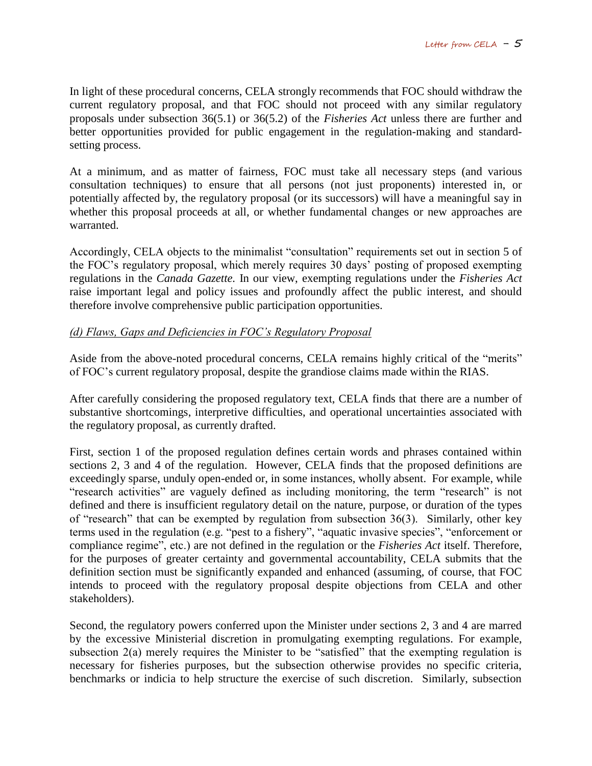In light of these procedural concerns, CELA strongly recommends that FOC should withdraw the current regulatory proposal, and that FOC should not proceed with any similar regulatory proposals under subsection 36(5.1) or 36(5.2) of the *Fisheries Act* unless there are further and better opportunities provided for public engagement in the regulation-making and standardsetting process.

At a minimum, and as matter of fairness, FOC must take all necessary steps (and various consultation techniques) to ensure that all persons (not just proponents) interested in, or potentially affected by, the regulatory proposal (or its successors) will have a meaningful say in whether this proposal proceeds at all, or whether fundamental changes or new approaches are warranted.

Accordingly, CELA objects to the minimalist "consultation" requirements set out in section 5 of the FOC's regulatory proposal, which merely requires 30 days' posting of proposed exempting regulations in the *Canada Gazette.* In our view, exempting regulations under the *Fisheries Act* raise important legal and policy issues and profoundly affect the public interest, and should therefore involve comprehensive public participation opportunities.

## *(d) Flaws, Gaps and Deficiencies in FOC's Regulatory Proposal*

Aside from the above-noted procedural concerns, CELA remains highly critical of the "merits" of FOC's current regulatory proposal, despite the grandiose claims made within the RIAS.

After carefully considering the proposed regulatory text, CELA finds that there are a number of substantive shortcomings, interpretive difficulties, and operational uncertainties associated with the regulatory proposal, as currently drafted.

First, section 1 of the proposed regulation defines certain words and phrases contained within sections 2, 3 and 4 of the regulation. However, CELA finds that the proposed definitions are exceedingly sparse, unduly open-ended or, in some instances, wholly absent. For example, while "research activities" are vaguely defined as including monitoring, the term "research" is not defined and there is insufficient regulatory detail on the nature, purpose, or duration of the types of "research" that can be exempted by regulation from subsection 36(3). Similarly, other key terms used in the regulation (e.g. "pest to a fishery", "aquatic invasive species", "enforcement or compliance regime", etc.) are not defined in the regulation or the *Fisheries Act* itself. Therefore, for the purposes of greater certainty and governmental accountability, CELA submits that the definition section must be significantly expanded and enhanced (assuming, of course, that FOC intends to proceed with the regulatory proposal despite objections from CELA and other stakeholders).

Second, the regulatory powers conferred upon the Minister under sections 2, 3 and 4 are marred by the excessive Ministerial discretion in promulgating exempting regulations. For example, subsection 2(a) merely requires the Minister to be "satisfied" that the exempting regulation is necessary for fisheries purposes, but the subsection otherwise provides no specific criteria, benchmarks or indicia to help structure the exercise of such discretion. Similarly, subsection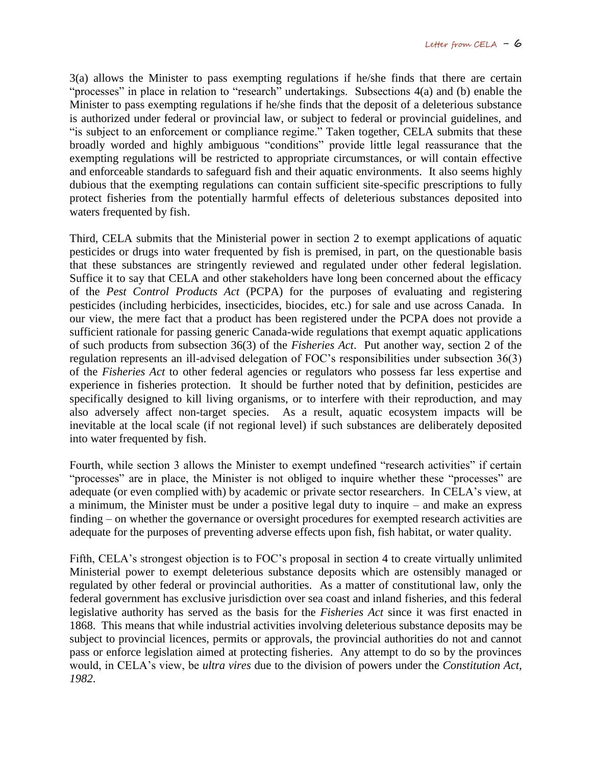3(a) allows the Minister to pass exempting regulations if he/she finds that there are certain "processes" in place in relation to "research" undertakings. Subsections 4(a) and (b) enable the Minister to pass exempting regulations if he/she finds that the deposit of a deleterious substance is authorized under federal or provincial law, or subject to federal or provincial guidelines, and "is subject to an enforcement or compliance regime." Taken together, CELA submits that these broadly worded and highly ambiguous "conditions" provide little legal reassurance that the exempting regulations will be restricted to appropriate circumstances, or will contain effective and enforceable standards to safeguard fish and their aquatic environments. It also seems highly dubious that the exempting regulations can contain sufficient site-specific prescriptions to fully protect fisheries from the potentially harmful effects of deleterious substances deposited into waters frequented by fish.

Third, CELA submits that the Ministerial power in section 2 to exempt applications of aquatic pesticides or drugs into water frequented by fish is premised, in part, on the questionable basis that these substances are stringently reviewed and regulated under other federal legislation. Suffice it to say that CELA and other stakeholders have long been concerned about the efficacy of the *Pest Control Products Act* (PCPA) for the purposes of evaluating and registering pesticides (including herbicides, insecticides, biocides, etc.) for sale and use across Canada. In our view, the mere fact that a product has been registered under the PCPA does not provide a sufficient rationale for passing generic Canada-wide regulations that exempt aquatic applications of such products from subsection 36(3) of the *Fisheries Act*. Put another way, section 2 of the regulation represents an ill-advised delegation of FOC's responsibilities under subsection 36(3) of the *Fisheries Act* to other federal agencies or regulators who possess far less expertise and experience in fisheries protection. It should be further noted that by definition, pesticides are specifically designed to kill living organisms, or to interfere with their reproduction, and may also adversely affect non-target species. As a result, aquatic ecosystem impacts will be inevitable at the local scale (if not regional level) if such substances are deliberately deposited into water frequented by fish.

Fourth, while section 3 allows the Minister to exempt undefined "research activities" if certain "processes" are in place, the Minister is not obliged to inquire whether these "processes" are adequate (or even complied with) by academic or private sector researchers. In CELA's view, at a minimum, the Minister must be under a positive legal duty to inquire – and make an express finding – on whether the governance or oversight procedures for exempted research activities are adequate for the purposes of preventing adverse effects upon fish, fish habitat, or water quality.

Fifth, CELA's strongest objection is to FOC's proposal in section 4 to create virtually unlimited Ministerial power to exempt deleterious substance deposits which are ostensibly managed or regulated by other federal or provincial authorities. As a matter of constitutional law, only the federal government has exclusive jurisdiction over sea coast and inland fisheries, and this federal legislative authority has served as the basis for the *Fisheries Act* since it was first enacted in 1868. This means that while industrial activities involving deleterious substance deposits may be subject to provincial licences, permits or approvals, the provincial authorities do not and cannot pass or enforce legislation aimed at protecting fisheries. Any attempt to do so by the provinces would, in CELA's view, be *ultra vires* due to the division of powers under the *Constitution Act, 1982*.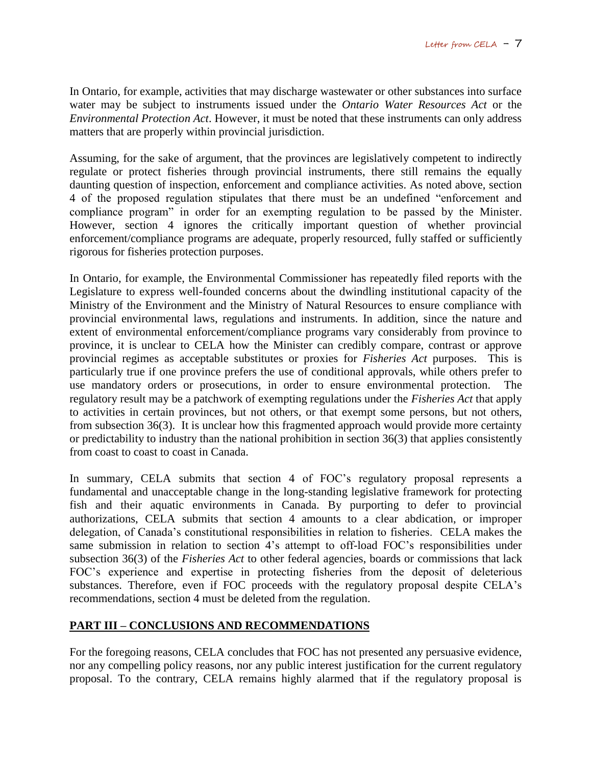In Ontario, for example, activities that may discharge wastewater or other substances into surface water may be subject to instruments issued under the *Ontario Water Resources Act* or the *Environmental Protection Act*. However, it must be noted that these instruments can only address matters that are properly within provincial jurisdiction.

Assuming, for the sake of argument, that the provinces are legislatively competent to indirectly regulate or protect fisheries through provincial instruments, there still remains the equally daunting question of inspection, enforcement and compliance activities. As noted above, section 4 of the proposed regulation stipulates that there must be an undefined "enforcement and compliance program" in order for an exempting regulation to be passed by the Minister. However, section 4 ignores the critically important question of whether provincial enforcement/compliance programs are adequate, properly resourced, fully staffed or sufficiently rigorous for fisheries protection purposes.

In Ontario, for example, the Environmental Commissioner has repeatedly filed reports with the Legislature to express well-founded concerns about the dwindling institutional capacity of the Ministry of the Environment and the Ministry of Natural Resources to ensure compliance with provincial environmental laws, regulations and instruments. In addition, since the nature and extent of environmental enforcement/compliance programs vary considerably from province to province, it is unclear to CELA how the Minister can credibly compare, contrast or approve provincial regimes as acceptable substitutes or proxies for *Fisheries Act* purposes. This is particularly true if one province prefers the use of conditional approvals, while others prefer to use mandatory orders or prosecutions, in order to ensure environmental protection. The regulatory result may be a patchwork of exempting regulations under the *Fisheries Act* that apply to activities in certain provinces, but not others, or that exempt some persons, but not others, from subsection 36(3). It is unclear how this fragmented approach would provide more certainty or predictability to industry than the national prohibition in section 36(3) that applies consistently from coast to coast to coast in Canada.

In summary, CELA submits that section 4 of FOC's regulatory proposal represents a fundamental and unacceptable change in the long-standing legislative framework for protecting fish and their aquatic environments in Canada. By purporting to defer to provincial authorizations, CELA submits that section 4 amounts to a clear abdication, or improper delegation, of Canada's constitutional responsibilities in relation to fisheries. CELA makes the same submission in relation to section 4's attempt to off-load FOC's responsibilities under subsection 36(3) of the *Fisheries Act* to other federal agencies, boards or commissions that lack FOC's experience and expertise in protecting fisheries from the deposit of deleterious substances. Therefore, even if FOC proceeds with the regulatory proposal despite CELA's recommendations, section 4 must be deleted from the regulation.

## **PART III – CONCLUSIONS AND RECOMMENDATIONS**

For the foregoing reasons, CELA concludes that FOC has not presented any persuasive evidence, nor any compelling policy reasons, nor any public interest justification for the current regulatory proposal. To the contrary, CELA remains highly alarmed that if the regulatory proposal is